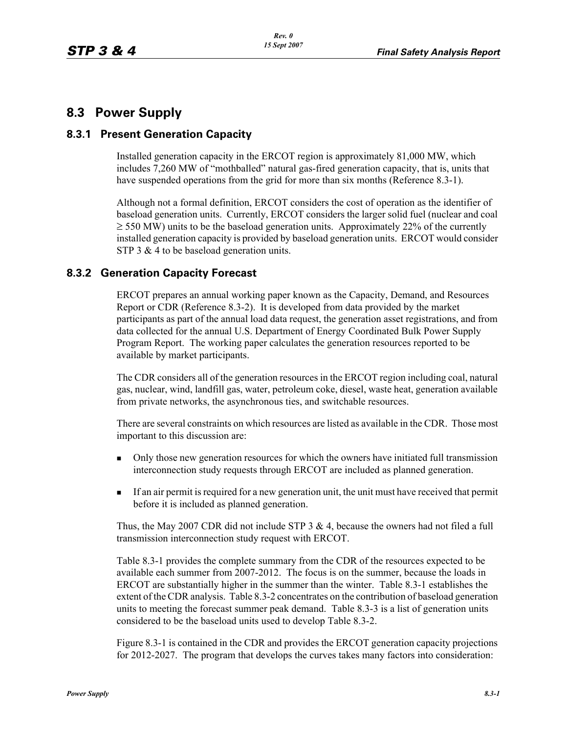## **8.3 Power Supply**

### **8.3.1 Present Generation Capacity**

Installed generation capacity in the ERCOT region is approximately 81,000 MW, which includes 7,260 MW of "mothballed" natural gas-fired generation capacity, that is, units that have suspended operations from the grid for more than six months (Reference 8.3-1).

Although not a formal definition, ERCOT considers the cost of operation as the identifier of baseload generation units. Currently, ERCOT considers the larger solid fuel (nuclear and coal  $\geq$  550 MW) units to be the baseload generation units. Approximately 22% of the currently installed generation capacity is provided by baseload generation units. ERCOT would consider STP 3 & 4 to be baseload generation units.

### **8.3.2 Generation Capacity Forecast**

ERCOT prepares an annual working paper known as the Capacity, Demand, and Resources Report or CDR (Reference 8.3-2). It is developed from data provided by the market participants as part of the annual load data request, the generation asset registrations, and from data collected for the annual U.S. Department of Energy Coordinated Bulk Power Supply Program Report. The working paper calculates the generation resources reported to be available by market participants.

The CDR considers all of the generation resources in the ERCOT region including coal, natural gas, nuclear, wind, landfill gas, water, petroleum coke, diesel, waste heat, generation available from private networks, the asynchronous ties, and switchable resources.

There are several constraints on which resources are listed as available in the CDR. Those most important to this discussion are:

- Only those new generation resources for which the owners have initiated full transmission interconnection study requests through ERCOT are included as planned generation.
- If an air permit is required for a new generation unit, the unit must have received that permit before it is included as planned generation.

Thus, the May 2007 CDR did not include STP 3 & 4, because the owners had not filed a full transmission interconnection study request with ERCOT.

Table 8.3-1 provides the complete summary from the CDR of the resources expected to be available each summer from 2007-2012. The focus is on the summer, because the loads in ERCOT are substantially higher in the summer than the winter. Table 8.3-1 establishes the extent of the CDR analysis. Table 8.3-2 concentrates on the contribution of baseload generation units to meeting the forecast summer peak demand. Table 8.3-3 is a list of generation units considered to be the baseload units used to develop Table 8.3-2.

Figure 8.3-1 is contained in the CDR and provides the ERCOT generation capacity projections for 2012-2027. The program that develops the curves takes many factors into consideration: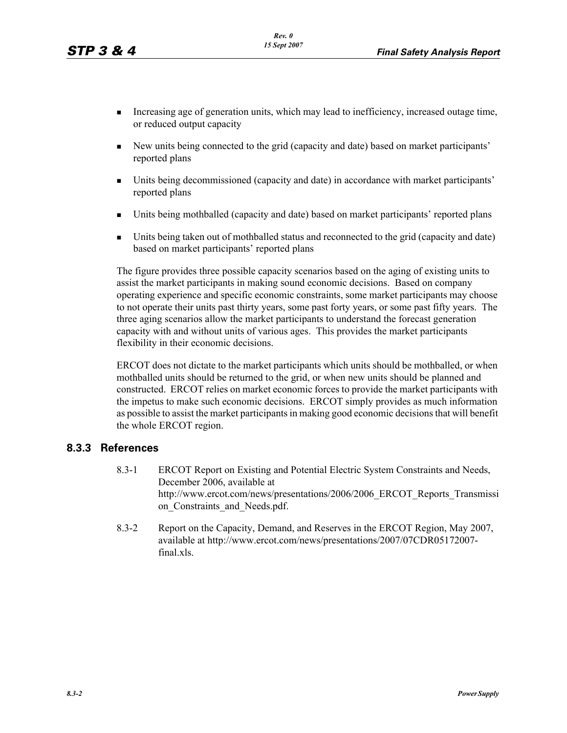- Increasing age of generation units, which may lead to inefficiency, increased outage time, or reduced output capacity
- New units being connected to the grid (capacity and date) based on market participants' reported plans
- Units being decommissioned (capacity and date) in accordance with market participants' reported plans
- Units being mothballed (capacity and date) based on market participants' reported plans
- Units being taken out of mothballed status and reconnected to the grid (capacity and date) based on market participants' reported plans

The figure provides three possible capacity scenarios based on the aging of existing units to assist the market participants in making sound economic decisions. Based on company operating experience and specific economic constraints, some market participants may choose to not operate their units past thirty years, some past forty years, or some past fifty years. The three aging scenarios allow the market participants to understand the forecast generation capacity with and without units of various ages. This provides the market participants flexibility in their economic decisions.

ERCOT does not dictate to the market participants which units should be mothballed, or when mothballed units should be returned to the grid, or when new units should be planned and constructed. ERCOT relies on market economic forces to provide the market participants with the impetus to make such economic decisions. ERCOT simply provides as much information as possible to assist the market participants in making good economic decisions that will benefit the whole ERCOT region.

#### **8.3.3 References**

- 8.3-1 ERCOT Report on Existing and Potential Electric System Constraints and Needs, December 2006, available at http://www.ercot.com/news/presentations/2006/2006\_ERCOT\_Reports\_Transmissi on Constraints and Needs.pdf.
- 8.3-2 Report on the Capacity, Demand, and Reserves in the ERCOT Region, May 2007, available at http://www.ercot.com/news/presentations/2007/07CDR05172007 final xls.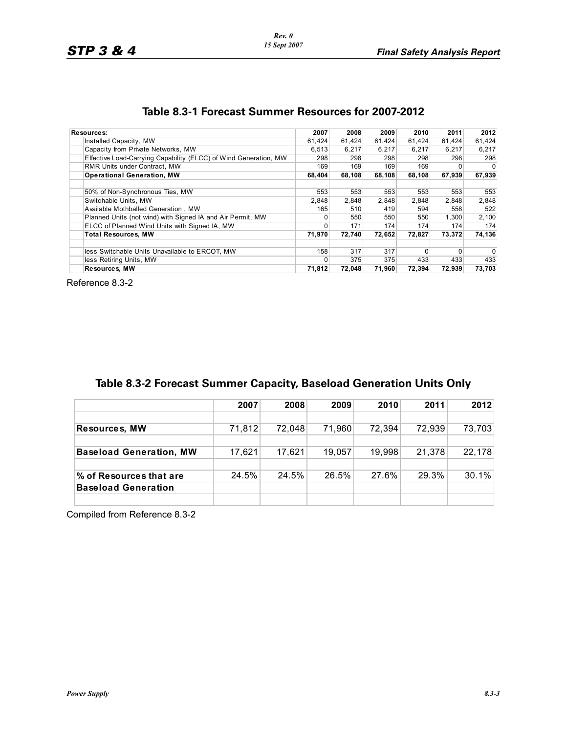| Resources:                                                       | 2007         | 2008   | 2009   | 2010   | 2011     | 2012     |
|------------------------------------------------------------------|--------------|--------|--------|--------|----------|----------|
| Installed Capacity, MW                                           | 61.424       | 61,424 | 61,424 | 61,424 | 61,424   | 61,424   |
| Capacity from Private Networks, MW                               | 6.513        | 6,217  | 6.217  | 6,217  | 6.217    | 6.217    |
| Effective Load-Carrying Capability (ELCC) of Wind Generation, MW | 298          | 298    | 298    | 298    | 298      | 298      |
| <b>RMR Units under Contract. MW</b>                              | 169          | 169    | 169    | 169    | 0        | $\Omega$ |
| <b>Operational Generation, MW</b>                                | 68,404       | 68,108 | 68.108 | 68,108 | 67.939   | 67,939   |
|                                                                  |              |        |        |        |          |          |
| 50% of Non-Synchronous Ties, MW                                  | 553          | 553    | 553    | 553    | 553      | 553      |
| Switchable Units, MW                                             | 2,848        | 2,848  | 2,848  | 2,848  | 2,848    | 2,848    |
| Available Mothballed Generation, MW                              | 165          | 510    | 419    | 594    | 558      | 522      |
| Planned Units (not wind) with Signed IA and Air Permit, MW       | <sup>0</sup> | 550    | 550    | 550    | 1,300    | 2,100    |
| ELCC of Planned Wind Units with Signed IA, MW                    | $\Omega$     | 171    | 174    | 174    | 174      | 174      |
| <b>Total Resources, MW</b>                                       | 71,970       | 72,740 | 72,652 | 72.827 | 73.372   | 74,136   |
|                                                                  |              |        |        |        |          |          |
| less Switchable Units Unavailable to ERCOT, MW                   | 158          | 317    | 317    | 0      | $\Omega$ | $\Omega$ |
| less Retiring Units, MW                                          | <sup>0</sup> | 375    | 375    | 433    | 433      | 433      |
| <b>Resources, MW</b>                                             | 71,812       | 72,048 | 71,960 | 72,394 | 72,939   | 73.703   |

# **Table 8.3-1 Forecast Summer Resources for 2007-2012**

Reference 8.3-2

| Table 8.3-2 Forecast Summer Capacity, Baseload Generation Units Only |
|----------------------------------------------------------------------|
|----------------------------------------------------------------------|

|                                | 2007   | 2008   | 2009   | 2010   | 2011   | 2012   |
|--------------------------------|--------|--------|--------|--------|--------|--------|
|                                |        |        |        |        |        |        |
| <b>Resources, MW</b>           | 71,812 | 72.048 | 71.960 | 72,394 | 72.939 | 73,703 |
|                                |        |        |        |        |        |        |
| <b>Baseload Generation, MW</b> | 17.621 | 17,621 | 19,057 | 19.998 | 21,378 | 22,178 |
|                                |        |        |        |        |        |        |
| $\%$ of Resources that are     | 24.5%  | 24.5%  | 26.5%  | 27.6%  | 29.3%  | 30.1%  |
| <b>Baseload Generation</b>     |        |        |        |        |        |        |
|                                |        |        |        |        |        |        |

Compiled from Reference 8.3-2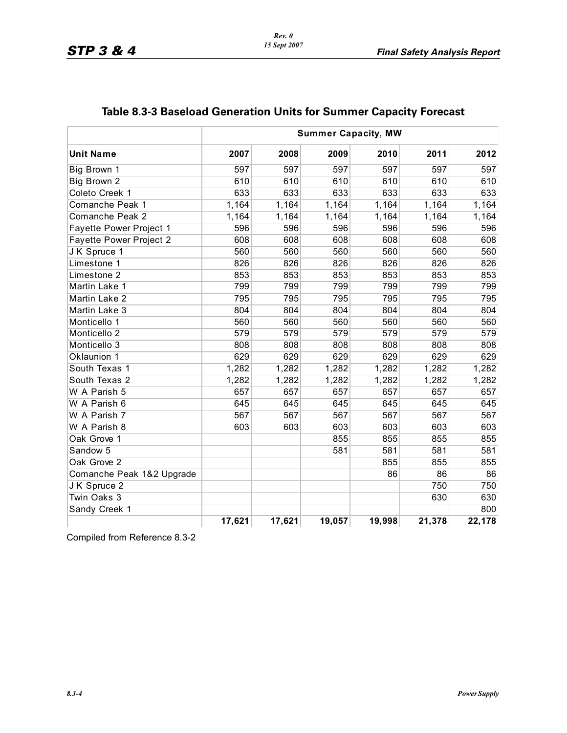|                           | <b>Summer Capacity, MW</b> |        |        |        |        |        |
|---------------------------|----------------------------|--------|--------|--------|--------|--------|
| <b>Unit Name</b>          | 2007                       | 2008   | 2009   | 2010   | 2011   | 2012   |
| Big Brown 1               | 597                        | 597    | 597    | 597    | 597    | 597    |
| Big Brown 2               | 610                        | 610    | 610    | 610    | 610    | 610    |
| Coleto Creek 1            | 633                        | 633    | 633    | 633    | 633    | 633    |
| Comanche Peak 1           | 1,164                      | 1,164  | 1,164  | 1,164  | 1,164  | 1,164  |
| Comanche Peak 2           | 1,164                      | 1,164  | 1,164  | 1,164  | 1,164  | 1,164  |
| Fayette Power Project 1   | 596                        | 596    | 596    | 596    | 596    | 596    |
| Fayette Power Project 2   | 608                        | 608    | 608    | 608    | 608    | 608    |
| JK Spruce 1               | 560                        | 560    | 560    | 560    | 560    | 560    |
| Limestone 1               | 826                        | 826    | 826    | 826    | 826    | 826    |
| Limestone 2               | 853                        | 853    | 853    | 853    | 853    | 853    |
| Martin Lake 1             | 799                        | 799    | 799    | 799    | 799    | 799    |
| Martin Lake 2             | 795                        | 795    | 795    | 795    | 795    | 795    |
| Martin Lake 3             | 804                        | 804    | 804    | 804    | 804    | 804    |
| Monticello 1              | 560                        | 560    | 560    | 560    | 560    | 560    |
| Monticello 2              | 579                        | 579    | 579    | 579    | 579    | 579    |
| Monticello 3              | 808                        | 808    | 808    | 808    | 808    | 808    |
| Oklaunion 1               | 629                        | 629    | 629    | 629    | 629    | 629    |
| South Texas 1             | 1,282                      | 1,282  | 1,282  | 1,282  | 1,282  | 1,282  |
| South Texas 2             | 1,282                      | 1,282  | 1,282  | 1,282  | 1,282  | 1,282  |
| W A Parish 5              | 657                        | 657    | 657    | 657    | 657    | 657    |
| W A Parish 6              | 645                        | 645    | 645    | 645    | 645    | 645    |
| W A Parish 7              | 567                        | 567    | 567    | 567    | 567    | 567    |
| W A Parish 8              | 603                        | 603    | 603    | 603    | 603    | 603    |
| Oak Grove 1               |                            |        | 855    | 855    | 855    | 855    |
| Sandow <sub>5</sub>       |                            |        | 581    | 581    | 581    | 581    |
| Oak Grove 2               |                            |        |        | 855    | 855    | 855    |
| Comanche Peak 1&2 Upgrade |                            |        |        | 86     | 86     | 86     |
| J K Spruce 2              |                            |        |        |        | 750    | 750    |
| Twin Oaks 3               |                            |        |        |        | 630    | 630    |
| Sandy Creek 1             |                            |        |        |        |        | 800    |
|                           | 17,621                     | 17,621 | 19,057 | 19,998 | 21,378 | 22,178 |

# **Table 8.3-3 Baseload Generation Units for Summer Capacity Forecast**

Compiled from Reference 8.3-2